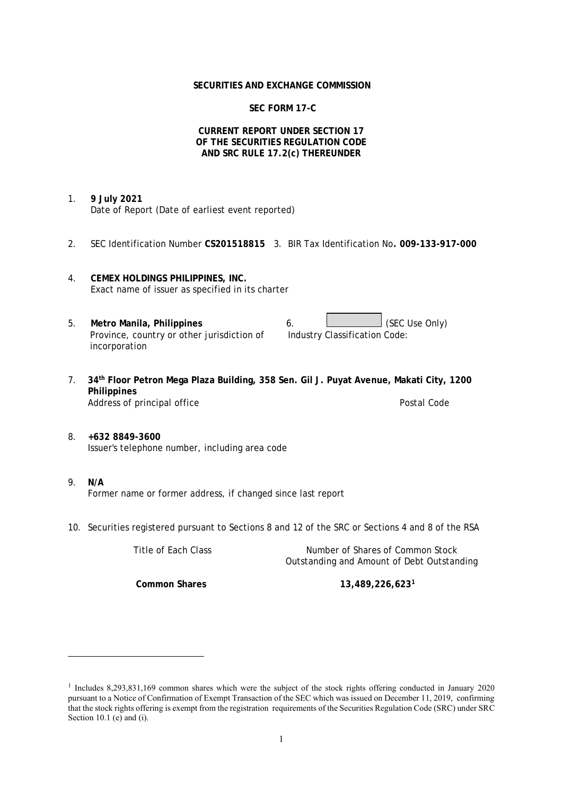### **SECURITIES AND EXCHANGE COMMISSION**

# **SEC FORM 17-C**

## **CURRENT REPORT UNDER SECTION 17 OF THE SECURITIES REGULATION CODE AND SRC RULE 17.2(c) THEREUNDER**

- 1. **9 July 2021** Date of Report (Date of earliest event reported)
- 2. SEC Identification Number **CS201518815** 3. BIR Tax Identification No**. 009-133-917-000**
- 4. **CEMEX HOLDINGS PHILIPPINES, INC.** Exact name of issuer as specified in its charter
- 5. Metro Manila, Philippines **6.** (SEC Use Only) Province, country or other jurisdiction of incorporation Industry Classification Code:
- 7. **34th Floor Petron Mega Plaza Building, 358 Sen. Gil J. Puyat Avenue, Makati City, 1200 Philippines** Address of principal office **Postal Code** Postal Code Postal Code
- 8. **+632 8849-3600** Issuer's telephone number, including area code
- 9. **N/A** Former name or former address, if changed since last report
- 10. Securities registered pursuant to Sections 8 and 12 of the SRC or Sections 4 and 8 of the RSA

Title of Each Class Number of Shares of Common Stock Outstanding and Amount of Debt Outstanding

**Common Shares 13,489,226,623<sup>1</sup>**

<sup>&</sup>lt;sup>1</sup> Includes 8,293,831,169 common shares which were the subject of the stock rights offering conducted in January 2020 pursuant to a Notice of Confirmation of Exempt Transaction of the SEC which was issued on December 11, 2019, confirming that the stock rights offering is exempt from the registration requirements of the Securities Regulation Code (SRC) under SRC Section 10.1 (e) and (i).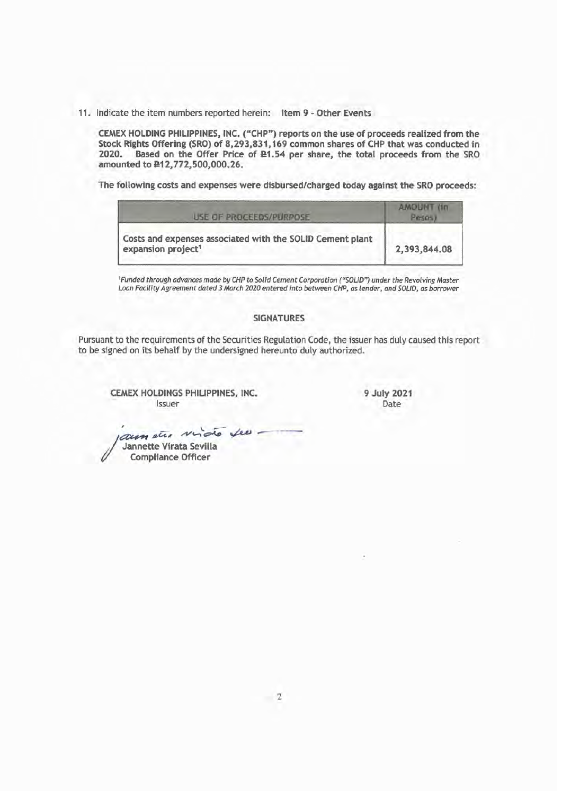11. Indicate the item numbers reported herein: Item 9 - Other Events

CEMEX HOLDING PHILIPPINES, INC. ("CHP") reports on the use of proceeds realized from the Stock Rights Offering (SRO) of 8,293,831,169 common shares of CHP that was conducted in 2020. Based on the Offer Price of £1.54 per share, the total proceeds from the SRO amounted to £12,772,500,000.26.

The following costs and expenses were disbursed/charged today against the SRO proceeds:

| USE OF PROCEEDS/PURPOSE                                                                     | <b>AMOUNT (1n)</b> |
|---------------------------------------------------------------------------------------------|--------------------|
| Costs and expenses associated with the SOLID Cement plant<br>expansion project <sup>1</sup> | 2,393,844.08       |

<sup>1</sup>Funded through advances made by CHP to Solid Cement Corporation ("SOLID") under the Revolving Master<br>Loan Facility Agreement dated 3 March 2020 entered into between CHP, as lender, and SOLID, as borrower

#### **SIGNATURES**

Pursuant to the requirements of the Securities Regulation Code, the issuer has duly caused this report to be signed on its behalf by the undersigned hereunto duly authorized.

CEMEX HOLDINGS PHILIPPINES, INC. Issuer

9 July 2021 Date

. aun étre vido seu Jannette Virata Sevilla **Compliance Officer**